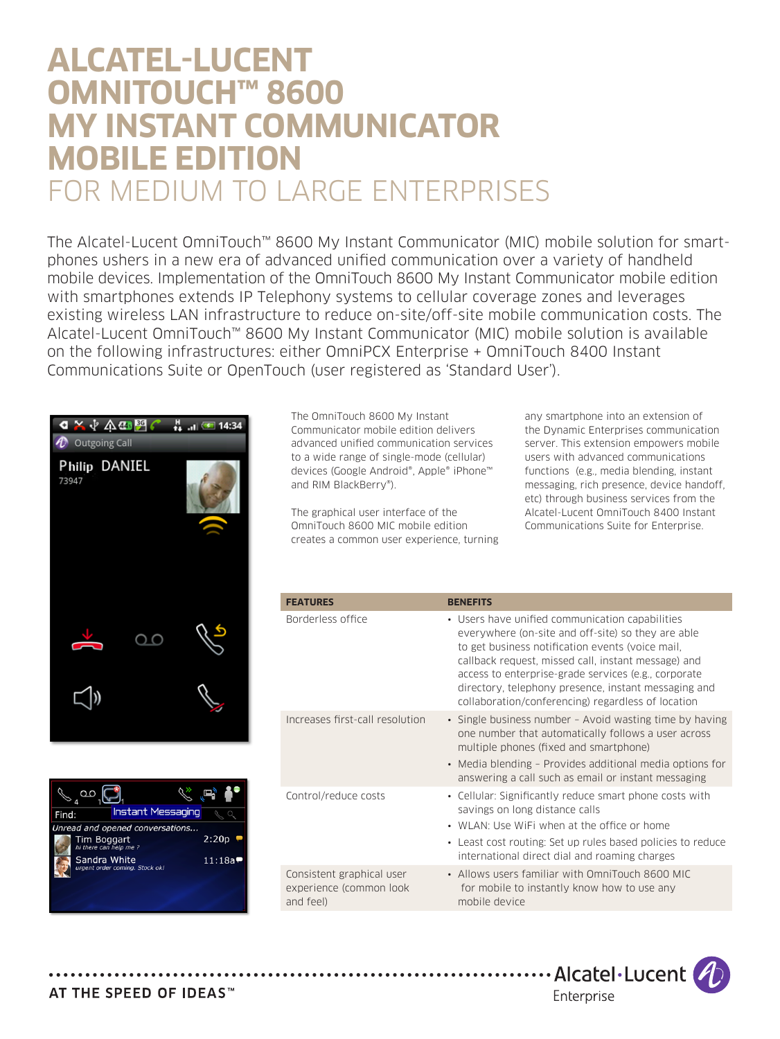# **ALCATEL-LUCENT OMNITOUCH™ 8600 MY INSTANT COMMUNICATOR MOBILE EDITION**  FOR MEDIUM TO LARGE ENTERPRISES

The Alcatel-Lucent OmniTouch™ 8600 My Instant Communicator (MIC) mobile solution for smartphones ushers in a new era of advanced unified communication over a variety of handheld mobile devices. Implementation of the OmniTouch 8600 My Instant Communicator mobile edition with smartphones extends IP Telephony systems to cellular coverage zones and leverages existing wireless LAN infrastructure to reduce on-site/off-site mobile communication costs. The Alcatel-Lucent OmniTouch™ 8600 My Instant Communicator (MIC) mobile solution is available on the following infrastructures: either OmniPCX Enterprise + OmniTouch 8400 Instant Communications Suite or OpenTouch (user registered as 'Standard User').





The OmniTouch 8600 My Instant Communicator mobile edition delivers advanced unified communication services to a wide range of single-mode (cellular) devices (Google Android®, Apple® iPhone™ and RIM BlackBerry®).

The graphical user interface of the OmniTouch 8600 MIC mobile edition creates a common user experience, turning any smartphone into an extension of the Dynamic Enterprises communication server. This extension empowers mobile users with advanced communications functions (e.g., media blending, instant messaging, rich presence, device handoff, etc) through business services from the Alcatel-Lucent OmniTouch 8400 Instant Communications Suite for Enterprise.

| <b>FEATURES</b>                                                   | <b>BENEFITS</b>                                                                                                                                                                                                                                                                                                                                                                        |
|-------------------------------------------------------------------|----------------------------------------------------------------------------------------------------------------------------------------------------------------------------------------------------------------------------------------------------------------------------------------------------------------------------------------------------------------------------------------|
| Borderless office                                                 | • Users have unified communication capabilities<br>everywhere (on-site and off-site) so they are able<br>to get business notification events (voice mail.<br>callback request, missed call, instant message) and<br>access to enterprise-grade services (e.g., corporate<br>directory, telephony presence, instant messaging and<br>collaboration/conferencing) regardless of location |
| Increases first-call resolution                                   | • Single business number - Avoid wasting time by having<br>one number that automatically follows a user across<br>multiple phones (fixed and smartphone)<br>• Media blending – Provides additional media options for<br>answering a call such as email or instant messaging                                                                                                            |
| Control/reduce costs                                              | • Cellular: Significantly reduce smart phone costs with<br>savings on long distance calls<br>• WLAN: Use WiFi when at the office or home<br>• Least cost routing: Set up rules based policies to reduce<br>international direct dial and roaming charges                                                                                                                               |
| Consistent graphical user<br>experience (common look<br>and feel) | • Allows users familiar with OmniTouch 8600 MIC<br>for mobile to instantly know how to use any<br>mobile device                                                                                                                                                                                                                                                                        |

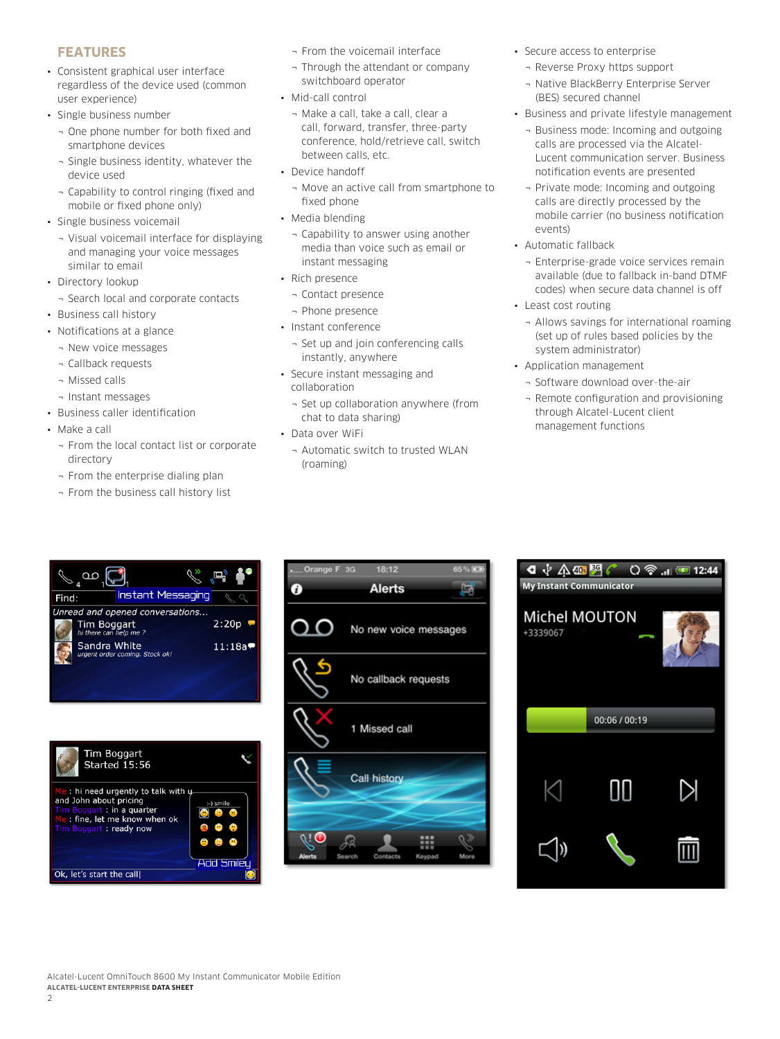# **FEATURES**

- • Consistent graphical user interface regardless of the device used (common user experience)
- • Single business number
	- ¬ One phone number for both fixed and smartphone devices
	- ¬ Single business identity, whatever the device used
	- ¬ Capability to control ringing (fixed and mobile or fixed phone only)
- Single business voicemail
	- ¬ Visual voicemail interface for displaying and managing your voice messages similar to email
- Directory lookup
	- ¬ Search local and corporate contacts
- • Business call history
- • Notifications at a glance
	- ¬ New voice messages
	- ¬ Callback requests
	- ¬ Missed calls
	- ¬ Instant messages
- • Business caller identification
- Make a call
	- ¬ From the local contact list or corporate directory
	- ¬ From the enterprise dialing plan
	- ¬ From the business call history list
- ¬ From the voicemail interface
- ¬ Through the attendant or company switchboard operator
- Mid-call control
	- ¬ Make a call, take a call, clear a call, forward, transfer, three-party conference, hold/retrieve call, switch between calls, etc.
- Device handoff
	- ¬ Move an active call from smartphone to fixed phone
- Media blending
	- ¬ Capability to answer using another media than voice such as email or instant messaging
- Rich presence
	- ¬ Contact presence
	- ¬ Phone presence
- • Instant conference
- ¬ Set up and join conferencing calls instantly, anywhere
- • Secure instant messaging and collaboration
- ¬ Set up collaboration anywhere (from chat to data sharing)
- Data over WiFi
- ¬ Automatic switch to trusted WLAN (roaming)
- • Secure access to enterprise
	- ¬ Reverse Proxy https support
	- ¬ Native BlackBerry Enterprise Server (BES) secured channel
- • Business and private lifestyle management
	- ¬ Business mode: Incoming and outgoing calls are processed via the Alcatel-Lucent communication server. Business notification events are presented
	- ¬ Private mode: Incoming and outgoing calls are directly processed by the mobile carrier (no business notification events)
- • Automatic fallback
	- ¬ Enterprise-grade voice services remain available (due to fallback in-band DTMF codes) when secure data channel is off
- • Least cost routing
	- ¬ Allows savings for international roaming (set up of rules based policies by the system administrator)
- • Application management
	- ¬ Software download over-the-air
	- ¬ Remote configuration and provisioning through Alcatel-Lucent client management functions







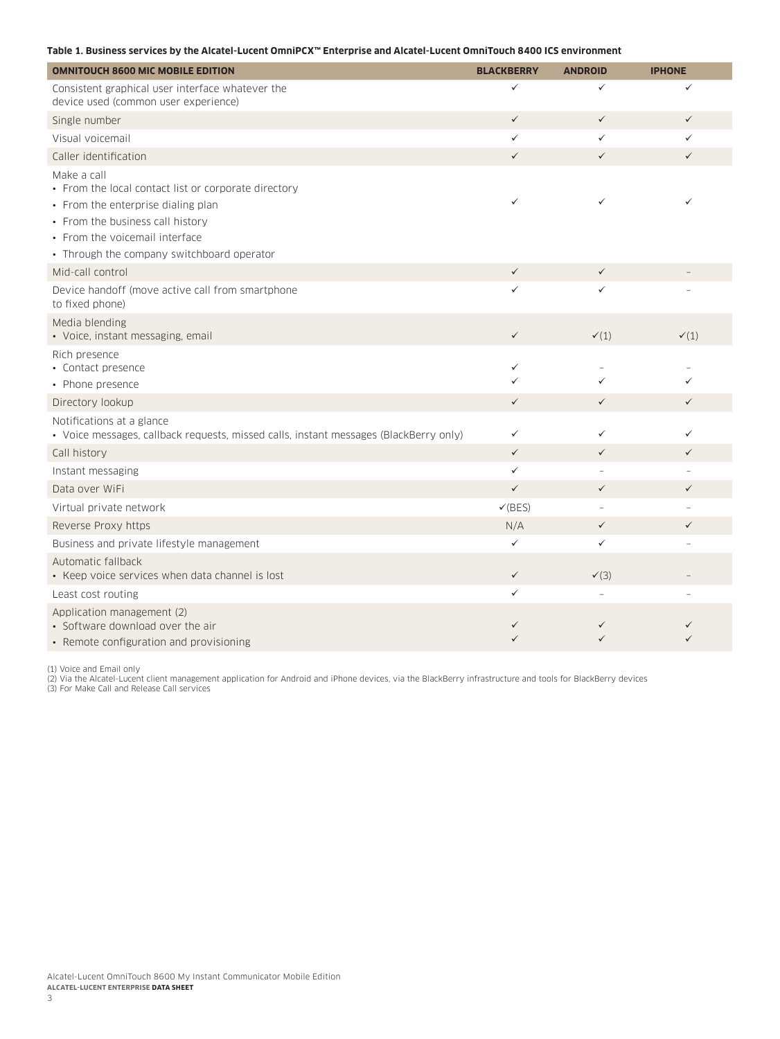#### **Table 1. Business services by the Alcatel-Lucent OmniPCX™ Enterprise and Alcatel-Lucent OmniTouch 8400 ICS environment**

| <b>OMNITOUCH 8600 MIC MOBILE EDITION</b>                                                                                                                                                                                      | <b>BLACKBERRY</b>            | <b>ANDROID</b>   | <b>IPHONE</b>   |
|-------------------------------------------------------------------------------------------------------------------------------------------------------------------------------------------------------------------------------|------------------------------|------------------|-----------------|
| Consistent graphical user interface whatever the<br>device used (common user experience)                                                                                                                                      | ✓                            | ✓                |                 |
| Single number                                                                                                                                                                                                                 | $\checkmark$                 | $\checkmark$     | $\checkmark$    |
| Visual voicemail                                                                                                                                                                                                              | $\checkmark$                 | $\checkmark$     | ✓               |
| Caller identification                                                                                                                                                                                                         | $\checkmark$                 | $\checkmark$     | $\checkmark$    |
| Make a call<br>• From the local contact list or corporate directory<br>• From the enterprise dialing plan<br>• From the business call history<br>• From the voicemail interface<br>• Through the company switchboard operator | $\checkmark$                 | ✓                |                 |
| Mid-call control                                                                                                                                                                                                              | $\checkmark$                 | $\checkmark$     |                 |
| Device handoff (move active call from smartphone<br>to fixed phone)                                                                                                                                                           | ✓                            | ✓                |                 |
| Media blending<br>• Voice, instant messaging, email                                                                                                                                                                           | $\checkmark$                 | $\checkmark(1)$  | $\checkmark(1)$ |
| Rich presence<br>• Contact presence<br>• Phone presence                                                                                                                                                                       | $\checkmark$<br>$\checkmark$ | ✓                |                 |
| Directory lookup                                                                                                                                                                                                              | $\checkmark$                 | $\checkmark$     | $\checkmark$    |
| Notifications at a glance<br>· Voice messages, callback requests, missed calls, instant messages (BlackBerry only)                                                                                                            | $\checkmark$                 | ✓                | ✓               |
| Call history                                                                                                                                                                                                                  | $\checkmark$                 | $\checkmark$     | $\checkmark$    |
| Instant messaging                                                                                                                                                                                                             | $\checkmark$                 |                  |                 |
| Data over WiFi                                                                                                                                                                                                                | $\checkmark$                 | $\checkmark$     | $\checkmark$    |
| Virtual private network                                                                                                                                                                                                       | $\checkmark$ (BES)           | $\overline{a}$   |                 |
| Reverse Proxy https                                                                                                                                                                                                           | N/A                          | $\checkmark$     |                 |
| Business and private lifestyle management                                                                                                                                                                                     | $\checkmark$                 | $\checkmark$     |                 |
| Automatic fallback<br>• Keep voice services when data channel is lost                                                                                                                                                         | $\checkmark$                 | $\checkmark$ (3) |                 |
| Least cost routing                                                                                                                                                                                                            | $\checkmark$                 |                  |                 |
| Application management (2)<br>• Software download over the air<br>• Remote configuration and provisioning                                                                                                                     | ✓                            | ✓<br>✓           |                 |

(1) Voice and Email only<br>(2) Via the Alcatel-Lucent client management application for Android and iPhone devices, via the BlackBerry infrastructure and tools for BlackBerry devices<br>(3) For Make Call and Release Call servic